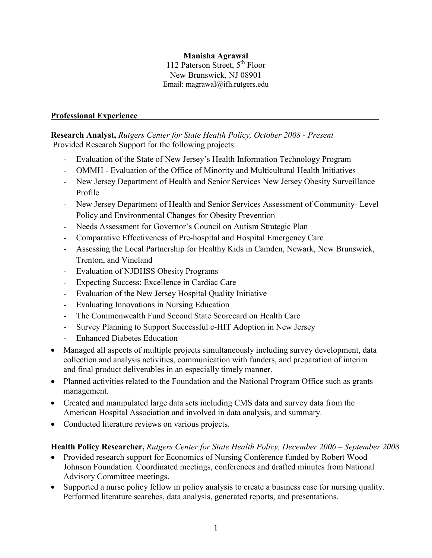# **Manisha Agrawal**

112 Paterson Street,  $5^{th}$  Floor New Brunswick, NJ 08901 Email: magrawal@ifh.rutgers.edu

## **Professional Experience\_\_\_\_\_\_\_\_\_\_\_\_\_\_\_\_\_\_\_\_\_\_\_\_\_\_\_\_\_\_\_\_\_\_\_\_\_\_\_\_\_\_\_\_\_\_\_\_\_\_\_\_\_\_\_\_\_**

**Research Analyst,** *Rutgers Center for State Health Policy, October 2008 - Present* Provided Research Support for the following projects:

- Evaluation of the State of New Jersey's Health Information Technology Program
- OMMH Evaluation of the Office of Minority and Multicultural Health Initiatives
- New Jersey Department of Health and Senior Services New Jersey Obesity Surveillance Profile
- New Jersey Department of Health and Senior Services Assessment of Community- Level Policy and Environmental Changes for Obesity Prevention
- Needs Assessment for Governor's Council on Autism Strategic Plan
- Comparative Effectiveness of Pre-hospital and Hospital Emergency Care
- Assessing the Local Partnership for Healthy Kids in Camden, Newark, New Brunswick, Trenton, and Vineland
- Evaluation of NJDHSS Obesity Programs
- Expecting Success: Excellence in Cardiac Care
- Evaluation of the New Jersey Hospital Quality Initiative
- Evaluating Innovations in Nursing Education
- The Commonwealth Fund Second State Scorecard on Health Care
- Survey Planning to Support Successful e-HIT Adoption in New Jersey
- Enhanced Diabetes Education
- Managed all aspects of multiple projects simultaneously including survey development, data collection and analysis activities, communication with funders, and preparation of interim and final product deliverables in an especially timely manner.
- Planned activities related to the Foundation and the National Program Office such as grants management.
- Created and manipulated large data sets including CMS data and survey data from the American Hospital Association and involved in data analysis, and summary.
- Conducted literature reviews on various projects.

# **Health Policy Researcher,** *Rutgers Center for State Health Policy, December 2006 – September 2008*

- Provided research support for Economics of Nursing Conference funded by Robert Wood Johnson Foundation. Coordinated meetings, conferences and drafted minutes from National Advisory Committee meetings.
- Supported a nurse policy fellow in policy analysis to create a business case for nursing quality. Performed literature searches, data analysis, generated reports, and presentations.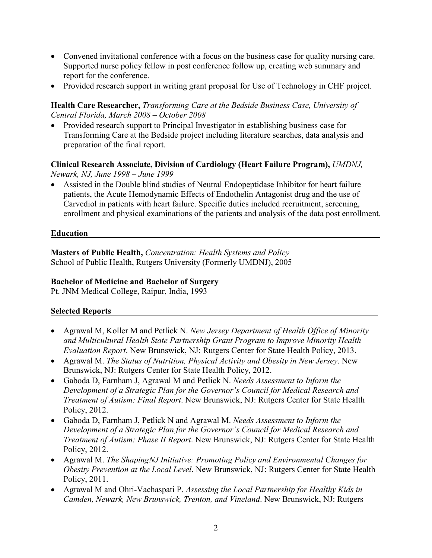- Convened invitational conference with a focus on the business case for quality nursing care. Supported nurse policy fellow in post conference follow up, creating web summary and report for the conference.
- Provided research support in writing grant proposal for Use of Technology in CHF project.

### **Health Care Researcher,** *Transforming Care at the Bedside Business Case, University of Central Florida, March 2008 – October 2008*

• Provided research support to Principal Investigator in establishing business case for Transforming Care at the Bedside project including literature searches, data analysis and preparation of the final report.

#### **Clinical Research Associate, Division of Cardiology (Heart Failure Program),** *UMDNJ, Newark, NJ, June 1998 – June 1999*

• Assisted in the Double blind studies of Neutral Endopeptidase Inhibitor for heart failure patients, the Acute Hemodynamic Effects of Endothelin Antagonist drug and the use of Carvediol in patients with heart failure. Specific duties included recruitment, screening, enrollment and physical examinations of the patients and analysis of the data post enrollment.

### **Education**

**Masters of Public Health,** *Concentration: Health Systems and Policy* School of Public Health, Rutgers University (Formerly UMDNJ), 2005

## **Bachelor of Medicine and Bachelor of Surgery**

Pt. JNM Medical College, Raipur, India, 1993

# **Selected Reports\_\_\_\_\_\_\_\_\_\_\_\_\_\_\_\_\_\_\_\_\_\_\_\_\_\_\_\_\_\_\_\_\_\_\_\_\_\_\_\_\_\_\_\_\_\_\_\_\_\_\_\_\_\_\_\_\_\_\_\_\_\_\_**

- Agrawal M, Koller M and Petlick N. *New Jersey Department of Health Office of Minority and Multicultural Health State Partnership Grant Program to Improve Minority Health Evaluation Report*. New Brunswick, NJ: Rutgers Center for State Health Policy, 2013.
- Agrawal M. *The Status of Nutrition, Physical Activity and Obesity in New Jersey*. New Brunswick, NJ: Rutgers Center for State Health Policy, 2012.
- Gaboda D, Farnham J, Agrawal M and Petlick N. *Needs Assessment to Inform the Development of a Strategic Plan for the Governor's Council for Medical Research and Treatment of Autism: Final Report*. New Brunswick, NJ: Rutgers Center for State Health Policy, 2012.
- Gaboda D, Farnham J, Petlick N and Agrawal M. *Needs Assessment to Inform the Development of a Strategic Plan for the Governor's Council for Medical Research and Treatment of Autism: Phase II Report*. New Brunswick, NJ: Rutgers Center for State Health Policy, 2012.
- Agrawal M. *The ShapingNJ Initiative: Promoting Policy and Environmental Changes for Obesity Prevention at the Local Level*. New Brunswick, NJ: Rutgers Center for State Health Policy, 2011.
- Agrawal M and Ohri-Vachaspati P. *Assessing the Local Partnership for Healthy Kids in Camden, Newark, New Brunswick, Trenton, and Vineland*. New Brunswick, NJ: Rutgers